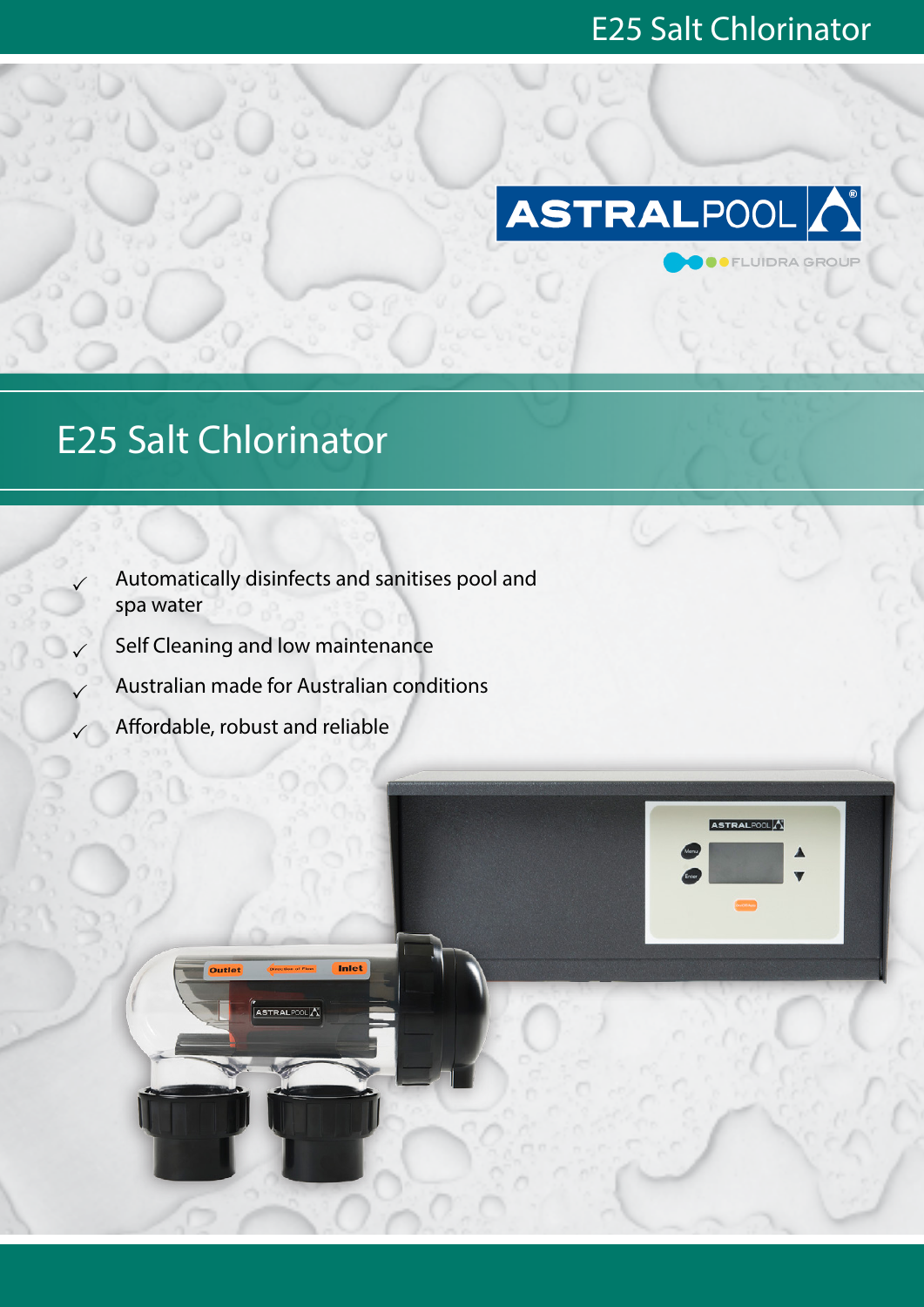**OFLUIDRA GROUP** 

ASTRALPOOLA



## E25 Salt Chlorinator

 Automatically disinfects and sanitises pool and spa water

Inlet

- Self Cleaning and low maintenance
- Australian made for Australian conditions

.<br>ASTRALP00L<mark>A</mark>

Affordable, robust and reliable

Outlet